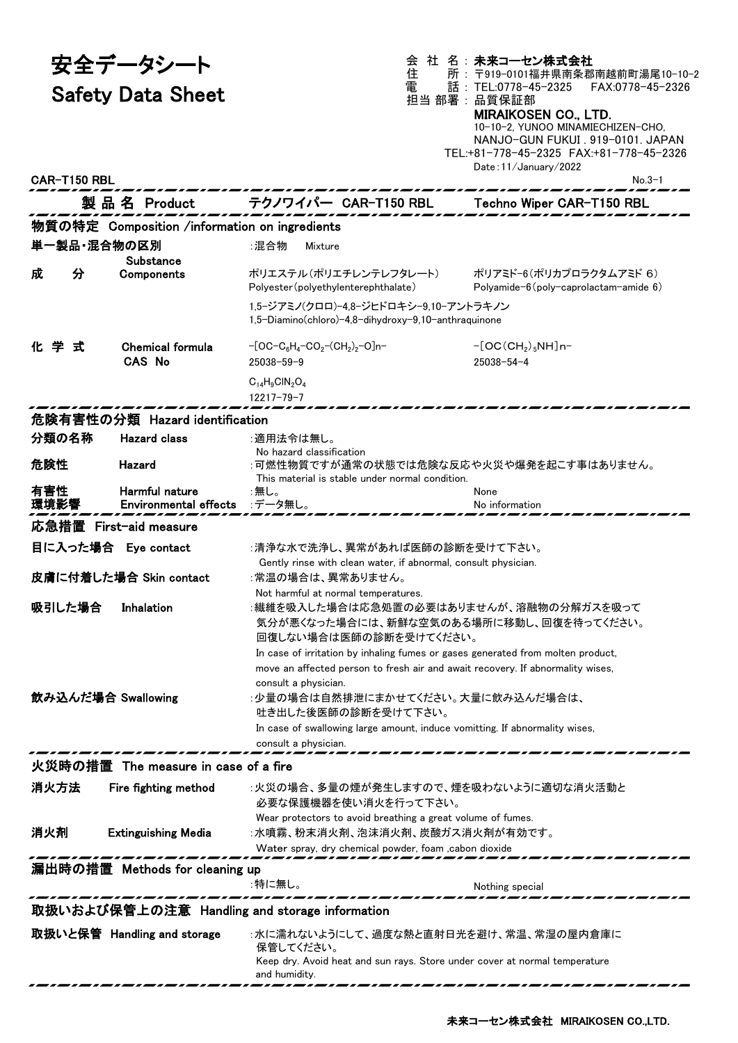安全データシート

Safety Data Sheet

会 社 名 : 未来コーセン株式会社 住 所 : 〒919-0101福井県南条郡南越前町湯尾10-10-2 電 話 : TEL:0778-45-2325 FAX:0778-45-2326 担当 部署 : 品質保証部 MIRAIKOSEN CO., LTD.

10-10-2, YUNOO MINAMIECHIZEN-CHO, NANJO-GUN FUKUI . 919-0101. JAPAN TEL:+81-778-45-2325 FAX:+81-778-45-2326 Date:11/January/2022 CAR-T150 RBL No.3-1

|                                                             |   | 製 品 名 Product                                  | テクノワイパー CAR-T150 RBL                                                                                                                                                                                                                                                                                                                                                                   | Techno Wiper CAR-T150 RBL                                               |  |
|-------------------------------------------------------------|---|------------------------------------------------|----------------------------------------------------------------------------------------------------------------------------------------------------------------------------------------------------------------------------------------------------------------------------------------------------------------------------------------------------------------------------------------|-------------------------------------------------------------------------|--|
|                                                             |   | 物質の特定 Composition /information on ingredients  |                                                                                                                                                                                                                                                                                                                                                                                        |                                                                         |  |
|                                                             |   | 単一製品・混合物の区別<br>Substance                       | ∶混合物<br>Mixture                                                                                                                                                                                                                                                                                                                                                                        |                                                                         |  |
| 成                                                           | 分 | Components                                     | ポリエステル(ポリエチレンテレフタレート)<br>Polyester (polyethylenterephthalate)<br>1,5-ジアミノ(クロロ)-4,8-ジヒドロキシ-9,10-アントラキノン                                                                                                                                                                                                                                                                                 | ポリアミド-6(ポリカプロラクタムアミド 6)<br>Polyamide- $6$ (poly-caprolactam-amide $6$ ) |  |
|                                                             |   |                                                | 1,5-Diamino(chloro)-4,8-dihydroxy-9,10-anthraquinone                                                                                                                                                                                                                                                                                                                                   |                                                                         |  |
| 化学式                                                         |   | <b>Chemical formula</b><br><b>CAS No</b>       | $-[OC-C_6H_4-CO_2-(CH_2)_2-O]n-$<br>$25038 - 59 - 9$                                                                                                                                                                                                                                                                                                                                   | $-[OC(CH2)5NH]n-$<br>$25038 - 54 - 4$                                   |  |
|                                                             |   |                                                | $C_{14}H_9CIN_2O_4$<br>$12217 - 79 - 7$                                                                                                                                                                                                                                                                                                                                                |                                                                         |  |
|                                                             |   | 危険有害性の分類 Hazard identification                 |                                                                                                                                                                                                                                                                                                                                                                                        |                                                                         |  |
| 分類の名称                                                       |   | <b>Hazard class</b>                            | :適用法令は無し。                                                                                                                                                                                                                                                                                                                                                                              |                                                                         |  |
| 危険性                                                         |   | Hazard                                         | No hazard classification<br>:可燃性物質ですが通常の状態では危険な反応や火災や爆発を起こす事はありません。<br>This material is stable under normal condition.                                                                                                                                                                                                                                                                 |                                                                         |  |
| 有害性<br>環境影響                                                 |   | Harmful nature<br><b>Environmental effects</b> | :無し。<br>:データ無し。                                                                                                                                                                                                                                                                                                                                                                        | None<br>No information                                                  |  |
| 応急措置 First-aid measure                                      |   |                                                |                                                                                                                                                                                                                                                                                                                                                                                        |                                                                         |  |
|                                                             |   | 目に入った場合 Eye contact                            | :清浄な水で洗浄し、異常があれば医師の診断を受けて下さい。                                                                                                                                                                                                                                                                                                                                                          |                                                                         |  |
| 皮膚に付着した場合 Skin contact                                      |   |                                                | Gently rinse with clean water, if abnormal, consult physician.<br>:常温の場合は、異常ありません。                                                                                                                                                                                                                                                                                                     |                                                                         |  |
| 吸引した場合                                                      |   | Inhalation                                     | Not harmful at normal temperatures.<br>:繊維を吸入した場合は応急処置の必要はありませんが、溶融物の分解ガスを吸って<br>気分が悪くなった場合には、新鮮な空気のある場所に移動し、回復を待ってください。                                                                                                                                                                                                                                                               |                                                                         |  |
|                                                             |   | 飲み込んだ場合 Swallowing                             | 回復しない場合は医師の診断を受けてください。<br>In case of irritation by inhaling fumes or gases generated from molten product,<br>move an affected person to fresh air and await recovery. If abnormality wises,<br>consult a physician.<br>:少量の場合は自然排泄にまかせてください。大量に飲み込んだ場合は、<br>吐き出した後医師の診断を受けて下さい。<br>In case of swallowing large amount, induce vomitting. If abnormality wises,<br>consult a physician. |                                                                         |  |
| 火災時の措置  The measure in case of a fire                       |   |                                                |                                                                                                                                                                                                                                                                                                                                                                                        |                                                                         |  |
| 消火方法                                                        |   | Fire fighting method                           | :火災の場合、多量の煙が発生しますので、煙を吸わないように適切な消火活動と<br>必要な保護機器を使い消火を行って下さい。                                                                                                                                                                                                                                                                                                                          |                                                                         |  |
| 消火剤                                                         |   | <b>Extinguishing Media</b>                     | Wear protectors to avoid breathing a great volume of fumes.<br>:水噴霧、粉末消火剤、泡沫消火剤、炭酸ガス消火剤が有効です。<br>Water spray, dry chemical powder, foam , cabon dioxide                                                                                                                                                                                                                                |                                                                         |  |
| 漏出時の措置 Methods for cleaning up<br>:特に無し。<br>Nothing special |   |                                                |                                                                                                                                                                                                                                                                                                                                                                                        |                                                                         |  |
| 取扱いおよび保管上の注意 Handling and storage information               |   |                                                |                                                                                                                                                                                                                                                                                                                                                                                        |                                                                         |  |
|                                                             |   | 取扱いと保管 Handling and storage                    | :水に濡れないようにして、過度な熱と直射日光を避け、常温、常湿の屋内倉庫に<br>保管してください。                                                                                                                                                                                                                                                                                                                                     |                                                                         |  |
|                                                             |   |                                                | Keep dry. Avoid heat and sun rays. Store under cover at normal temperature                                                                                                                                                                                                                                                                                                             |                                                                         |  |

and humidity.

. *. . . . . .* .

-*------*

---

------ ---...

...

---

,,,,,,,,,,,

,,,,,,,,,,,,,,,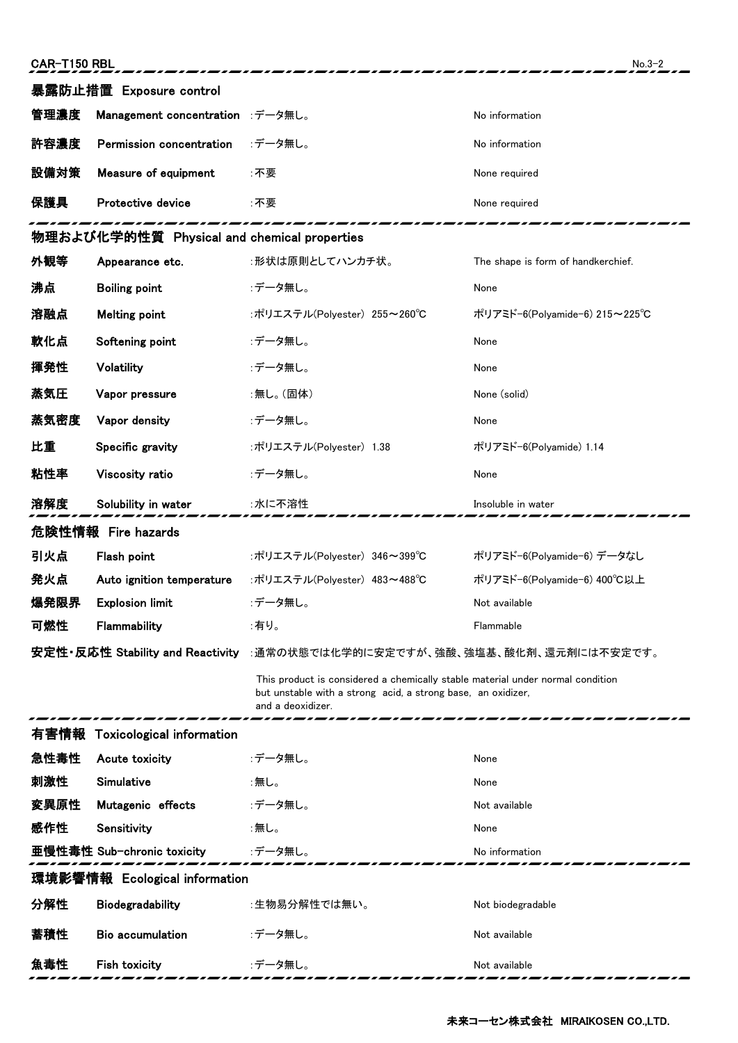| 暴露防止措置 Exposure control                     |                                    |                                                                                                                                                                     |                                    |  |  |  |  |
|---------------------------------------------|------------------------------------|---------------------------------------------------------------------------------------------------------------------------------------------------------------------|------------------------------------|--|--|--|--|
| 管理濃度                                        | Management concentration :データ無し。   |                                                                                                                                                                     | No information                     |  |  |  |  |
| 許容濃度                                        | Permission concentration           | :データ無し。                                                                                                                                                             | No information                     |  |  |  |  |
| 設備対策                                        | Measure of equipment               | :不要                                                                                                                                                                 | None required                      |  |  |  |  |
| 保護具                                         | Protective device                  | :不要                                                                                                                                                                 | None required                      |  |  |  |  |
| 物理および化学的性質 Physical and chemical properties |                                    |                                                                                                                                                                     |                                    |  |  |  |  |
| 外観等                                         | Appearance etc.                    | :形状は原則としてハンカチ状。                                                                                                                                                     | The shape is form of handkerchief. |  |  |  |  |
| 沸点                                          | <b>Boiling point</b>               | :データ無し。                                                                                                                                                             | None                               |  |  |  |  |
| 溶融点                                         | Melting point                      | :ポリエステル(Polyester) 255~260℃                                                                                                                                         | ポリアミド−6(Polyamide−6) 215∼225℃      |  |  |  |  |
| 軟化点                                         | Softening point                    | :データ無し。                                                                                                                                                             | None                               |  |  |  |  |
| 揮発性                                         | Volatility                         | :データ無し。                                                                                                                                                             | None                               |  |  |  |  |
| 蒸気圧                                         | Vapor pressure                     | :無し。(固体)                                                                                                                                                            | None (solid)                       |  |  |  |  |
| 蒸気密度                                        | Vapor density                      | :データ無し。                                                                                                                                                             | None                               |  |  |  |  |
| 比重                                          | Specific gravity                   | :ポリエステル(Polyester) 1.38                                                                                                                                             | ポリアミド-6(Polyamide) 1.14            |  |  |  |  |
| 粘性率                                         | Viscosity ratio                    | :データ無し。                                                                                                                                                             | None                               |  |  |  |  |
| 溶解度                                         | Solubility in water                | :水に不溶性                                                                                                                                                              | Insoluble in water                 |  |  |  |  |
| 危険性情報 Fire hazards                          |                                    |                                                                                                                                                                     |                                    |  |  |  |  |
|                                             |                                    |                                                                                                                                                                     |                                    |  |  |  |  |
| 引火点                                         | Flash point                        | :ポリエステル(Polyester) 346~399°C                                                                                                                                        | ポリアミド-6(Polyamide-6) データなし         |  |  |  |  |
| 発火点                                         | Auto ignition temperature          | :ポリエステル(Polyester) 483~488℃                                                                                                                                         | ポリアミド-6(Polyamide-6) 400°C以上       |  |  |  |  |
| 爆発限界                                        | <b>Explosion limit</b>             | :データ無し。                                                                                                                                                             | Not available                      |  |  |  |  |
| 可燃性                                         | Flammability                       | :有り。                                                                                                                                                                | <b>Flammable</b>                   |  |  |  |  |
|                                             |                                    | 安定性・反応性 Stability and Reactivity :通常の状態では化学的に安定ですが、強酸、強塩基、酸化剤、還元剤には不安定です。                                                                                           |                                    |  |  |  |  |
|                                             |                                    | This product is considered a chemically stable material under normal condition<br>but unstable with a strong acid, a strong base, an oxidizer,<br>and a deoxidizer. |                                    |  |  |  |  |
|                                             | 有害情報 Toxicological information     |                                                                                                                                                                     |                                    |  |  |  |  |
| 急性毒性                                        | Acute toxicity                     | :データ無し。                                                                                                                                                             | None                               |  |  |  |  |
| 刺激性                                         | Simulative                         | :無し。                                                                                                                                                                | None                               |  |  |  |  |
| 変異原性                                        | Mutagenic effects                  | :データ無し。                                                                                                                                                             | Not available                      |  |  |  |  |
| 感作性                                         | Sensitivity                        | :無し。                                                                                                                                                                | None                               |  |  |  |  |
|                                             | 亜慢性毒性 Sub-chronic toxicity :データ無し。 |                                                                                                                                                                     | No information                     |  |  |  |  |
|                                             | 環境影響情報 Ecological information      |                                                                                                                                                                     |                                    |  |  |  |  |
| 分解性                                         | <b>Biodegradability</b>            | :生物易分解性では無い。                                                                                                                                                        | Not biodegradable                  |  |  |  |  |

魚毒性 Fish toxicity :データ無し。 インター Not available

,,,,,,

,,,,,,,,